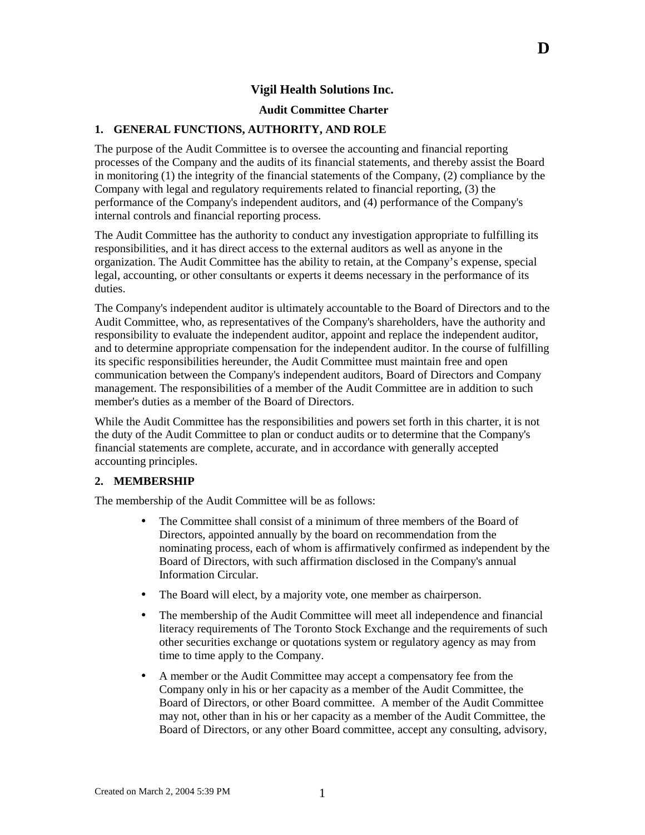## **Vigil Health Solutions Inc.**

### **Audit Committee Charter**

### **1. GENERAL FUNCTIONS, AUTHORITY, AND ROLE**

The purpose of the Audit Committee is to oversee the accounting and financial reporting processes of the Company and the audits of its financial statements, and thereby assist the Board in monitoring (1) the integrity of the financial statements of the Company, (2) compliance by the Company with legal and regulatory requirements related to financial reporting, (3) the performance of the Company's independent auditors, and (4) performance of the Company's internal controls and financial reporting process.

The Audit Committee has the authority to conduct any investigation appropriate to fulfilling its responsibilities, and it has direct access to the external auditors as well as anyone in the organization. The Audit Committee has the ability to retain, at the Company's expense, special legal, accounting, or other consultants or experts it deems necessary in the performance of its duties.

The Company's independent auditor is ultimately accountable to the Board of Directors and to the Audit Committee, who, as representatives of the Company's shareholders, have the authority and responsibility to evaluate the independent auditor, appoint and replace the independent auditor, and to determine appropriate compensation for the independent auditor. In the course of fulfilling its specific responsibilities hereunder, the Audit Committee must maintain free and open communication between the Company's independent auditors, Board of Directors and Company management. The responsibilities of a member of the Audit Committee are in addition to such member's duties as a member of the Board of Directors.

While the Audit Committee has the responsibilities and powers set forth in this charter, it is not the duty of the Audit Committee to plan or conduct audits or to determine that the Company's financial statements are complete, accurate, and in accordance with generally accepted accounting principles.

### **2. MEMBERSHIP**

The membership of the Audit Committee will be as follows:

- The Committee shall consist of a minimum of three members of the Board of Directors, appointed annually by the board on recommendation from the nominating process, each of whom is affirmatively confirmed as independent by the Board of Directors, with such affirmation disclosed in the Company's annual Information Circular.
- The Board will elect, by a majority vote, one member as chairperson.
- The membership of the Audit Committee will meet all independence and financial literacy requirements of The Toronto Stock Exchange and the requirements of such other securities exchange or quotations system or regulatory agency as may from time to time apply to the Company.
- A member or the Audit Committee may accept a compensatory fee from the Company only in his or her capacity as a member of the Audit Committee, the Board of Directors, or other Board committee. A member of the Audit Committee may not, other than in his or her capacity as a member of the Audit Committee, the Board of Directors, or any other Board committee, accept any consulting, advisory,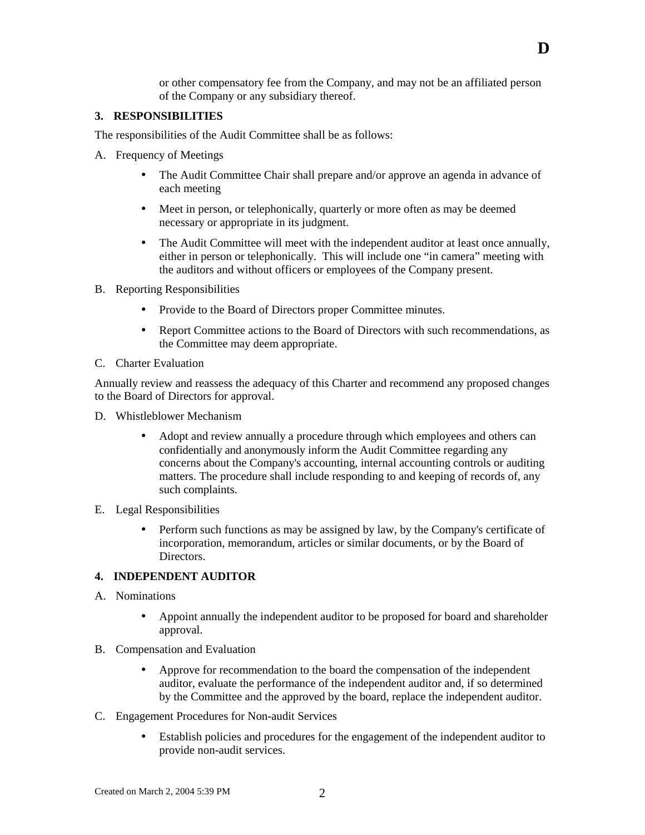or other compensatory fee from the Company, and may not be an affiliated person of the Company or any subsidiary thereof.

**D** 

### **3. RESPONSIBILITIES**

The responsibilities of the Audit Committee shall be as follows:

- A. Frequency of Meetings
	- The Audit Committee Chair shall prepare and/or approve an agenda in advance of each meeting
	- Meet in person, or telephonically, quarterly or more often as may be deemed necessary or appropriate in its judgment.
	- The Audit Committee will meet with the independent auditor at least once annually, either in person or telephonically. This will include one "in camera" meeting with the auditors and without officers or employees of the Company present.
- B. Reporting Responsibilities
	- Provide to the Board of Directors proper Committee minutes.
	- Report Committee actions to the Board of Directors with such recommendations, as the Committee may deem appropriate.
- C. Charter Evaluation

Annually review and reassess the adequacy of this Charter and recommend any proposed changes to the Board of Directors for approval.

- D. Whistleblower Mechanism
	- Adopt and review annually a procedure through which employees and others can confidentially and anonymously inform the Audit Committee regarding any concerns about the Company's accounting, internal accounting controls or auditing matters. The procedure shall include responding to and keeping of records of, any such complaints.
- E. Legal Responsibilities
	- Perform such functions as may be assigned by law, by the Company's certificate of incorporation, memorandum, articles or similar documents, or by the Board of Directors.

### **4. INDEPENDENT AUDITOR**

- A. Nominations
	- Appoint annually the independent auditor to be proposed for board and shareholder approval.
- B. Compensation and Evaluation
	- Approve for recommendation to the board the compensation of the independent auditor, evaluate the performance of the independent auditor and, if so determined by the Committee and the approved by the board, replace the independent auditor.
- C. Engagement Procedures for Non-audit Services
	- Establish policies and procedures for the engagement of the independent auditor to provide non-audit services.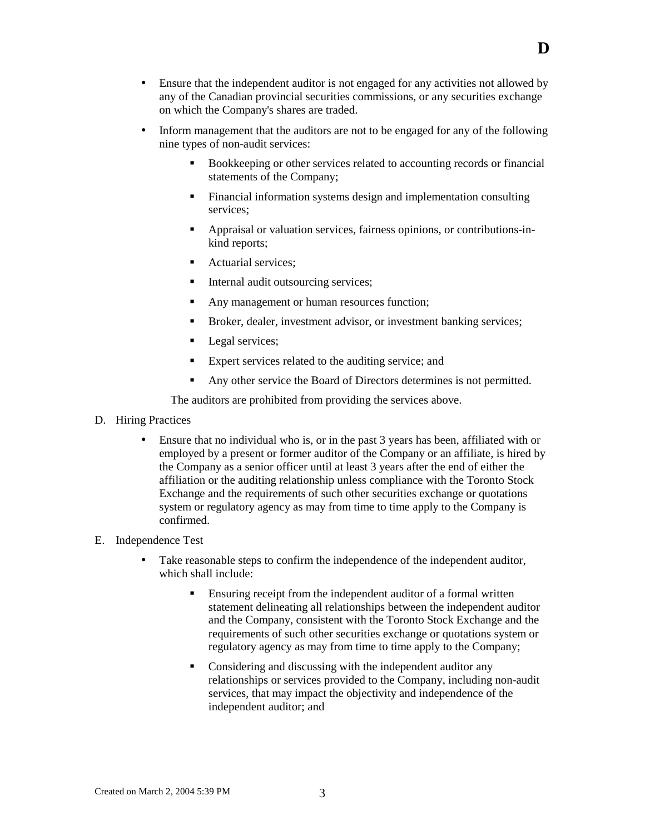- Ensure that the independent auditor is not engaged for any activities not allowed by any of the Canadian provincial securities commissions, or any securities exchange on which the Company's shares are traded.
- Inform management that the auditors are not to be engaged for any of the following nine types of non-audit services:
	- ! Bookkeeping or other services related to accounting records or financial statements of the Company;
	- ! Financial information systems design and implementation consulting services;
	- ! Appraisal or valuation services, fairness opinions, or contributions-inkind reports;
	- Actuarial services:
	- Internal audit outsourcing services;
	- ! Any management or human resources function;
	- ! Broker, dealer, investment advisor, or investment banking services;
	- Legal services;
	- ! Expert services related to the auditing service; and
	- ! Any other service the Board of Directors determines is not permitted.

The auditors are prohibited from providing the services above.

- D. Hiring Practices
	- Ensure that no individual who is, or in the past 3 years has been, affiliated with or employed by a present or former auditor of the Company or an affiliate, is hired by the Company as a senior officer until at least 3 years after the end of either the affiliation or the auditing relationship unless compliance with the Toronto Stock Exchange and the requirements of such other securities exchange or quotations system or regulatory agency as may from time to time apply to the Company is confirmed.

### E. Independence Test

- Take reasonable steps to confirm the independence of the independent auditor, which shall include:
	- Ensuring receipt from the independent auditor of a formal written statement delineating all relationships between the independent auditor and the Company, consistent with the Toronto Stock Exchange and the requirements of such other securities exchange or quotations system or regulatory agency as may from time to time apply to the Company;
	- ! Considering and discussing with the independent auditor any relationships or services provided to the Company, including non-audit services, that may impact the objectivity and independence of the independent auditor; and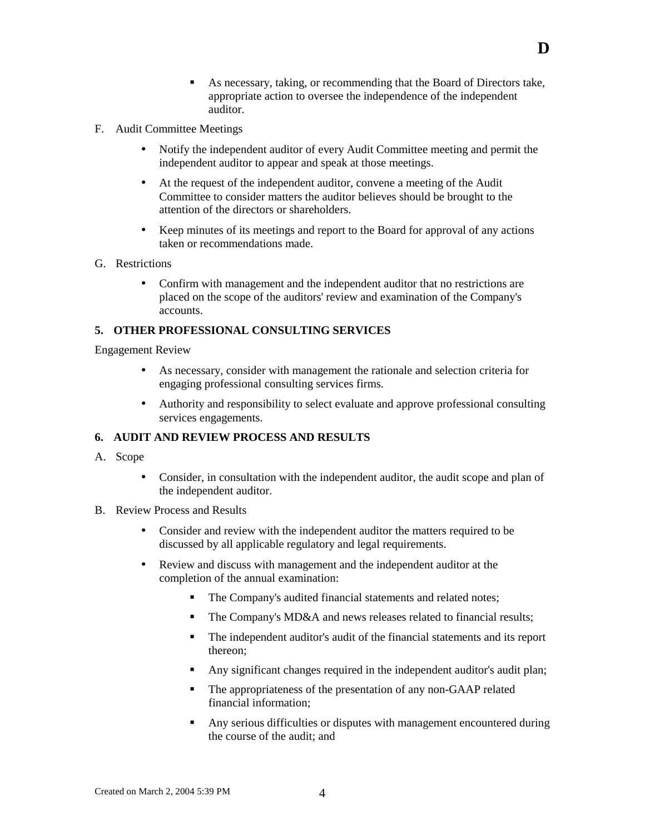- ! As necessary, taking, or recommending that the Board of Directors take, appropriate action to oversee the independence of the independent auditor.
- F. Audit Committee Meetings
	- Notify the independent auditor of every Audit Committee meeting and permit the independent auditor to appear and speak at those meetings.
	- At the request of the independent auditor, convene a meeting of the Audit Committee to consider matters the auditor believes should be brought to the attention of the directors or shareholders.
	- Keep minutes of its meetings and report to the Board for approval of any actions taken or recommendations made.
- G. Restrictions
	- Confirm with management and the independent auditor that no restrictions are placed on the scope of the auditors' review and examination of the Company's accounts.

# **5. OTHER PROFESSIONAL CONSULTING SERVICES**

Engagement Review

- As necessary, consider with management the rationale and selection criteria for engaging professional consulting services firms.
- Authority and responsibility to select evaluate and approve professional consulting services engagements.

## **6. AUDIT AND REVIEW PROCESS AND RESULTS**

- A. Scope
	- Consider, in consultation with the independent auditor, the audit scope and plan of the independent auditor.
- B. Review Process and Results
	- Consider and review with the independent auditor the matters required to be discussed by all applicable regulatory and legal requirements.
	- Review and discuss with management and the independent auditor at the completion of the annual examination:
		- ! The Company's audited financial statements and related notes;
		- The Company's MD&A and news releases related to financial results;
		- ! The independent auditor's audit of the financial statements and its report thereon;
		- ! Any significant changes required in the independent auditor's audit plan;
		- ! The appropriateness of the presentation of any non-GAAP related financial information;
		- Any serious difficulties or disputes with management encountered during the course of the audit; and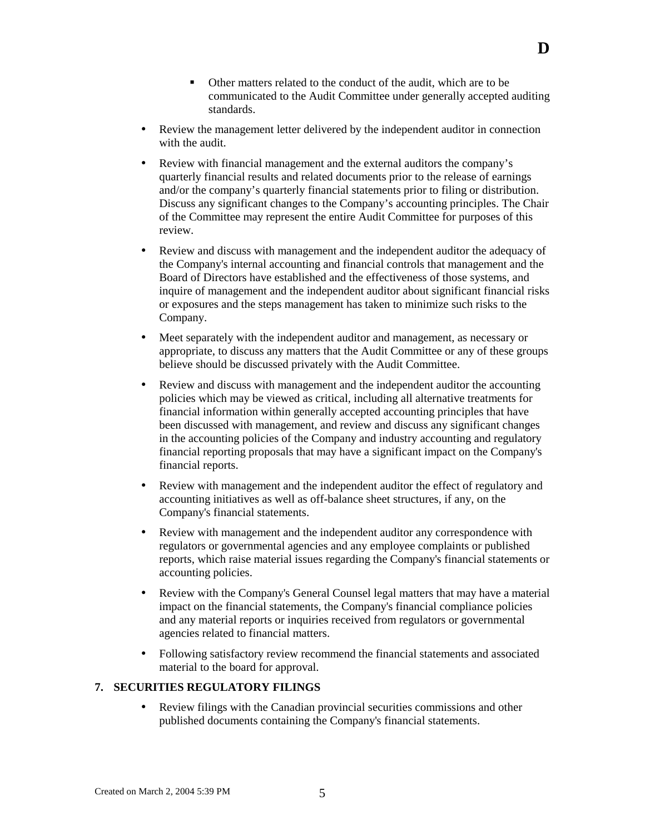- ! Other matters related to the conduct of the audit, which are to be communicated to the Audit Committee under generally accepted auditing standards.
- Review the management letter delivered by the independent auditor in connection with the audit.
- Review with financial management and the external auditors the company's quarterly financial results and related documents prior to the release of earnings and/or the company's quarterly financial statements prior to filing or distribution. Discuss any significant changes to the Company's accounting principles. The Chair of the Committee may represent the entire Audit Committee for purposes of this review.
- Review and discuss with management and the independent auditor the adequacy of the Company's internal accounting and financial controls that management and the Board of Directors have established and the effectiveness of those systems, and inquire of management and the independent auditor about significant financial risks or exposures and the steps management has taken to minimize such risks to the Company.
- Meet separately with the independent auditor and management, as necessary or appropriate, to discuss any matters that the Audit Committee or any of these groups believe should be discussed privately with the Audit Committee.
- Review and discuss with management and the independent auditor the accounting policies which may be viewed as critical, including all alternative treatments for financial information within generally accepted accounting principles that have been discussed with management, and review and discuss any significant changes in the accounting policies of the Company and industry accounting and regulatory financial reporting proposals that may have a significant impact on the Company's financial reports.
- Review with management and the independent auditor the effect of regulatory and accounting initiatives as well as off-balance sheet structures, if any, on the Company's financial statements.
- Review with management and the independent auditor any correspondence with regulators or governmental agencies and any employee complaints or published reports, which raise material issues regarding the Company's financial statements or accounting policies.
- Review with the Company's General Counsel legal matters that may have a material impact on the financial statements, the Company's financial compliance policies and any material reports or inquiries received from regulators or governmental agencies related to financial matters.
- Following satisfactory review recommend the financial statements and associated material to the board for approval.

### **7. SECURITIES REGULATORY FILINGS**

• Review filings with the Canadian provincial securities commissions and other published documents containing the Company's financial statements.